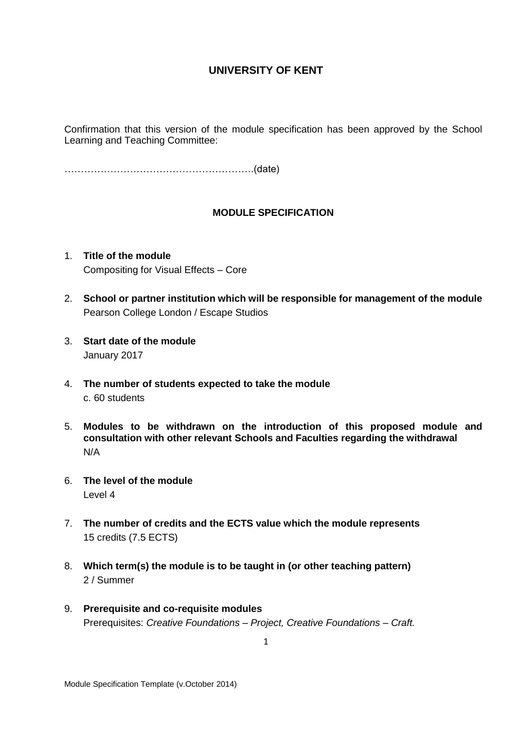Confirmation that this version of the module specification has been approved by the School Learning and Teaching Committee:

………………………………………………….(date)

### **MODULE SPECIFICATION**

- 1. **Title of the module** Compositing for Visual Effects – Core
- 2. **School or partner institution which will be responsible for management of the module** Pearson College London / Escape Studios
- 3. **Start date of the module** January 2017
- 4. **The number of students expected to take the module** c. 60 students
- 5. **Modules to be withdrawn on the introduction of this proposed module and consultation with other relevant Schools and Faculties regarding the withdrawal** N/A
- 6. **The level of the module**  Level 4
- 7. **The number of credits and the ECTS value which the module represents**  15 credits (7.5 ECTS)
- 8. **Which term(s) the module is to be taught in (or other teaching pattern)** 2 / Summer
- 9. **Prerequisite and co-requisite modules** Prerequisites: *Creative Foundations – Project, Creative Foundations – Craft.*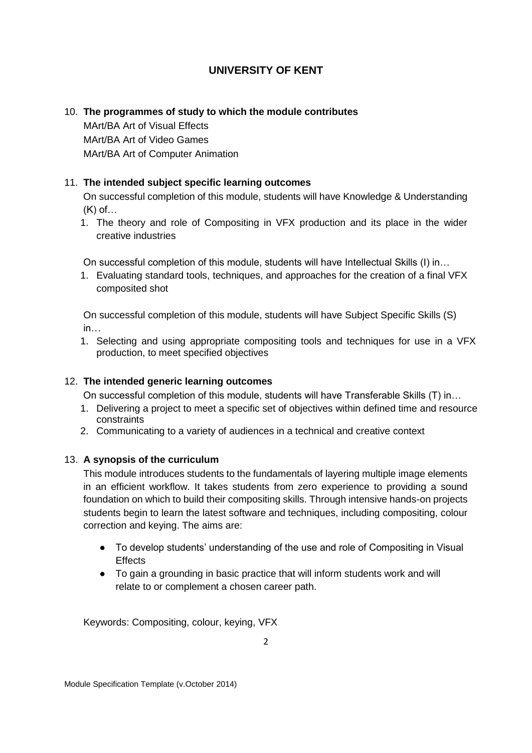## 10. **The programmes of study to which the module contributes**

MArt/BA Art of Visual Effects MArt/BA Art of Video Games MArt/BA Art of Computer Animation

## 11. **The intended subject specific learning outcomes**

On successful completion of this module, students will have Knowledge & Understanding (K) of…

1. The theory and role of Compositing in VFX production and its place in the wider creative industries

On successful completion of this module, students will have Intellectual Skills (I) in…

1. Evaluating standard tools, techniques, and approaches for the creation of a final VFX composited shot

On successful completion of this module, students will have Subject Specific Skills (S) in…

1. Selecting and using appropriate compositing tools and techniques for use in a VFX production, to meet specified objectives

## 12. **The intended generic learning outcomes**

On successful completion of this module, students will have Transferable Skills (T) in…

- 1. Delivering a project to meet a specific set of objectives within defined time and resource constraints
- 2. Communicating to a variety of audiences in a technical and creative context

### 13. **A synopsis of the curriculum**

This module introduces students to the fundamentals of layering multiple image elements in an efficient workflow. It takes students from zero experience to providing a sound foundation on which to build their compositing skills. Through intensive hands-on projects students begin to learn the latest software and techniques, including compositing, colour correction and keying. The aims are:

- To develop students' understanding of the use and role of Compositing in Visual **Effects**
- To gain a grounding in basic practice that will inform students work and will relate to or complement a chosen career path.

Keywords: Compositing, colour, keying, VFX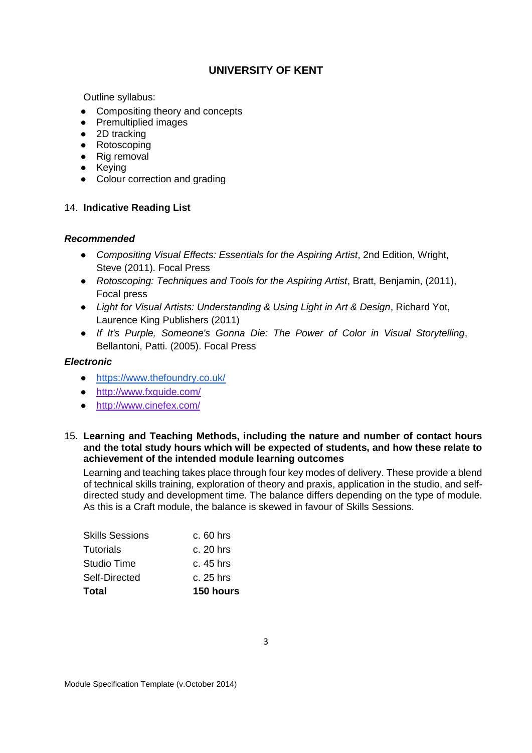Outline syllabus:

- Compositing theory and concepts
- Premultiplied images
- 2D tracking
- Rotoscoping
- Rig removal
- Keying
- Colour correction and grading

## 14. **Indicative Reading List**

### *Recommended*

- *Compositing Visual Effects: Essentials for the Aspiring Artist*, 2nd Edition, Wright, Steve (2011). Focal Press
- *Rotoscoping: Techniques and Tools for the Aspiring Artist*, Bratt, Benjamin, (2011), Focal press
- *Light for Visual Artists: Understanding & Using Light in Art & Design*, Richard Yot, Laurence King Publishers (2011)
- *If It's Purple, Someone's Gonna Die: The Power of Color in Visual Storytelling*, Bellantoni, Patti. (2005). Focal Press

### *Electronic*

- <https://www.thefoundry.co.uk/>
- <http://www.fxguide.com/>
- <http://www.cinefex.com/>

#### 15. **Learning and Teaching Methods, including the nature and number of contact hours and the total study hours which will be expected of students, and how these relate to achievement of the intended module learning outcomes**

Learning and teaching takes place through four key modes of delivery. These provide a blend of technical skills training, exploration of theory and praxis, application in the studio, and selfdirected study and development time. The balance differs depending on the type of module. As this is a Craft module, the balance is skewed in favour of Skills Sessions.

| Total                  | 150 hours   |
|------------------------|-------------|
| Self-Directed          | c. 25 hrs   |
| Studio Time            | c. 45 hrs   |
| <b>Tutorials</b>       | $c. 20$ hrs |
| <b>Skills Sessions</b> | $c.60$ hrs  |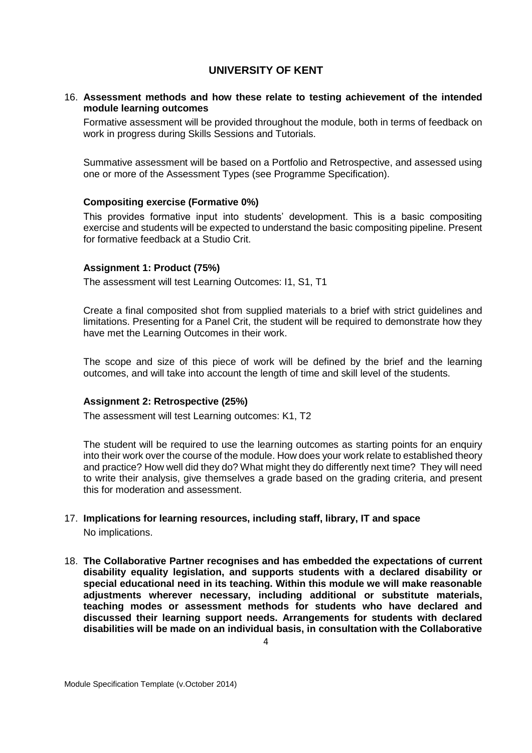### 16. **Assessment methods and how these relate to testing achievement of the intended module learning outcomes**

Formative assessment will be provided throughout the module, both in terms of feedback on work in progress during Skills Sessions and Tutorials.

Summative assessment will be based on a Portfolio and Retrospective, and assessed using one or more of the Assessment Types (see Programme Specification).

### **Compositing exercise (Formative 0%)**

This provides formative input into students' development. This is a basic compositing exercise and students will be expected to understand the basic compositing pipeline. Present for formative feedback at a Studio Crit.

#### **Assignment 1: Product (75%)**

The assessment will test Learning Outcomes: I1, S1, T1

Create a final composited shot from supplied materials to a brief with strict guidelines and limitations. Presenting for a Panel Crit, the student will be required to demonstrate how they have met the Learning Outcomes in their work.

The scope and size of this piece of work will be defined by the brief and the learning outcomes, and will take into account the length of time and skill level of the students.

#### **Assignment 2: Retrospective (25%)**

The assessment will test Learning outcomes: K1, T2

The student will be required to use the learning outcomes as starting points for an enquiry into their work over the course of the module. How does your work relate to established theory and practice? How well did they do? What might they do differently next time? They will need to write their analysis, give themselves a grade based on the grading criteria, and present this for moderation and assessment.

## 17. **Implications for learning resources, including staff, library, IT and space** No implications.

18. **The Collaborative Partner recognises and has embedded the expectations of current disability equality legislation, and supports students with a declared disability or special educational need in its teaching. Within this module we will make reasonable adjustments wherever necessary, including additional or substitute materials, teaching modes or assessment methods for students who have declared and discussed their learning support needs. Arrangements for students with declared disabilities will be made on an individual basis, in consultation with the Collaborative**